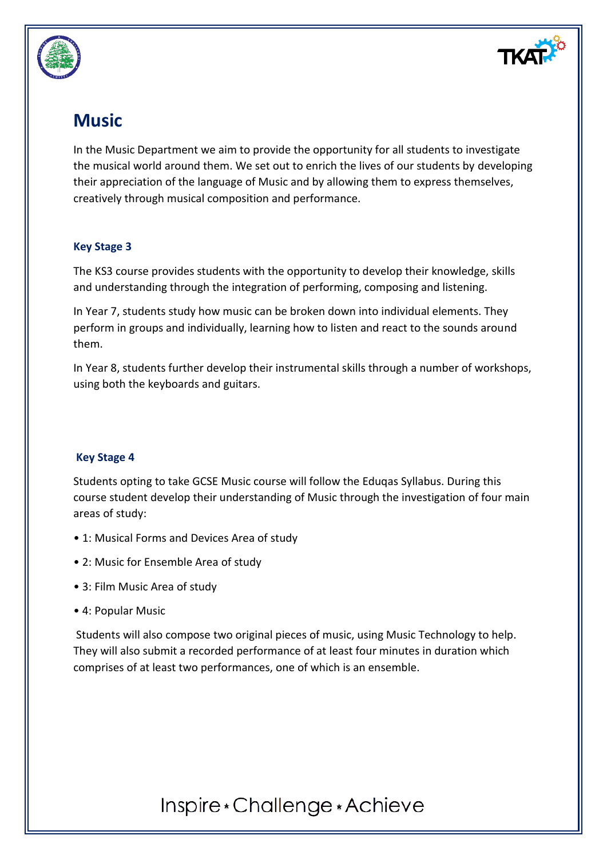

## **Music**

In the Music Department we aim to provide the opportunity for all students to investigate the musical world around them. We set out to enrich the lives of our students by developing their appreciation of the language of Music and by allowing them to express themselves, creatively through musical composition and performance.

#### **Key Stage 3**

The KS3 course provides students with the opportunity to develop their knowledge, skills and understanding through the integration of performing, composing and listening.

In Year 7, students study how music can be broken down into individual elements. They perform in groups and individually, learning how to listen and react to the sounds around them.

In Year 8, students further develop their instrumental skills through a number of workshops, using both the keyboards and guitars.

### **Key Stage 4**

Students opting to take GCSE Music course will follow the Eduqas Syllabus. During this course student develop their understanding of Music through the investigation of four main areas of study:

- 1: Musical Forms and Devices Area of study
- 2: Music for Ensemble Area of study
- 3: Film Music Area of study
- 4: Popular Music

Students will also compose two original pieces of music, using Music Technology to help. They will also submit a recorded performance of at least four minutes in duration which comprises of at least two performances, one of which is an ensemble.

# Inspire \* Challenge \* Achieve